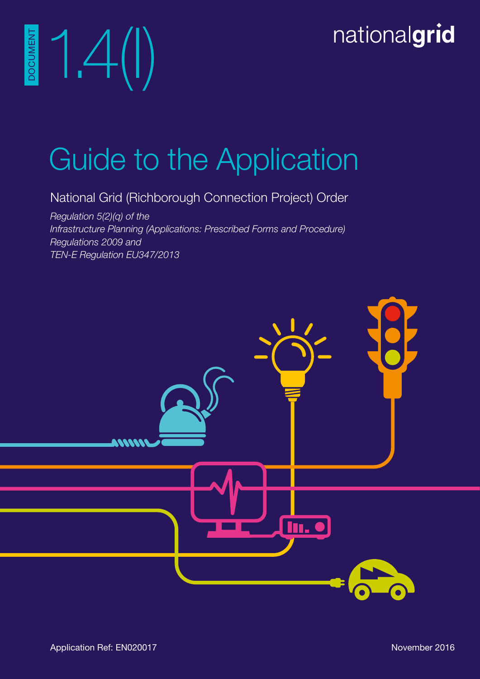# nationalgrid

Guide to the Application

National Grid (Richborough Connection Project) Order

*Regulation 5(2)(q) of the Infrastructure Planning (Applications: Prescribed Forms and Procedure) Regulations 2009 and TEN-E Regulation EU347/2013*



1.4(I)

DOCUMENT

**DOCUMEN**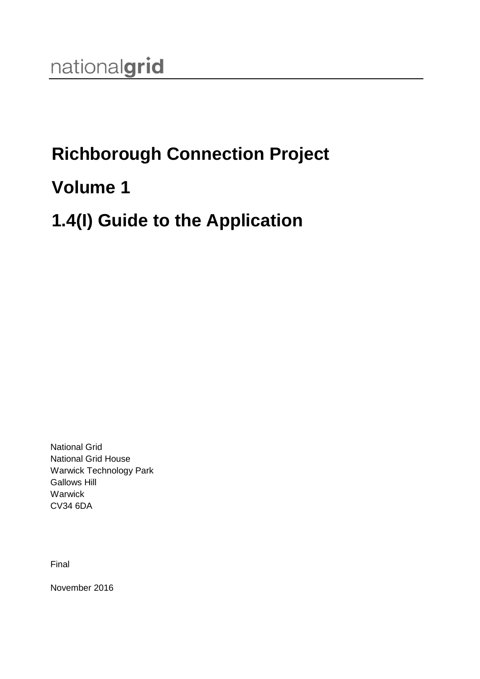## **Richborough Connection Project**

### **Volume 1**

### **1.4(I) Guide to the Application**

National Grid National Grid House Warwick Technology Park Gallows Hill **Warwick** CV34 6DA

Final

November 2016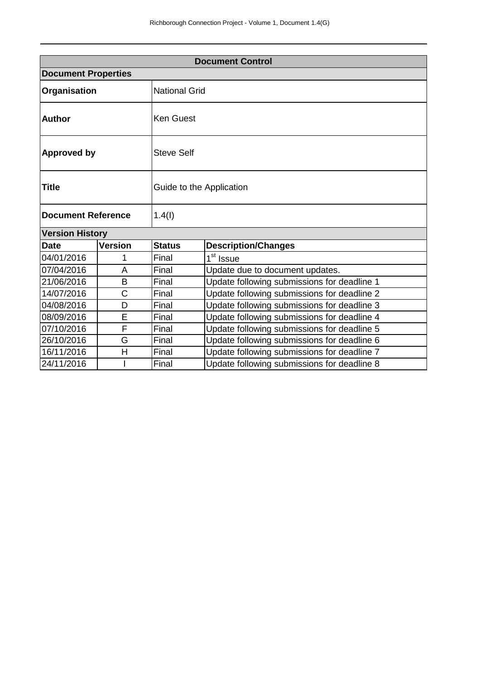| <b>Document Control</b>    |                        |                          |                                             |  |  |
|----------------------------|------------------------|--------------------------|---------------------------------------------|--|--|
| <b>Document Properties</b> |                        |                          |                                             |  |  |
| Organisation               |                        | <b>National Grid</b>     |                                             |  |  |
| <b>Author</b>              |                        | <b>Ken Guest</b>         |                                             |  |  |
| <b>Approved by</b>         |                        | <b>Steve Self</b>        |                                             |  |  |
| Title                      |                        | Guide to the Application |                                             |  |  |
| <b>Document Reference</b>  |                        | 1.4(1)                   |                                             |  |  |
|                            | <b>Version History</b> |                          |                                             |  |  |
| <b>Date</b>                | Version                | <b>Status</b>            | <b>Description/Changes</b>                  |  |  |
| 04/01/2016                 | 1                      | Final                    | 1 <sup>st</sup> Issue                       |  |  |
| 07/04/2016                 | A                      | Final                    | Update due to document updates.             |  |  |
| 21/06/2016                 | B                      | Final                    | Update following submissions for deadline 1 |  |  |
| 14/07/2016                 | C                      | Final                    | Update following submissions for deadline 2 |  |  |
| 04/08/2016                 | D                      | Final                    | Update following submissions for deadline 3 |  |  |
| 08/09/2016                 | E                      | Final                    | Update following submissions for deadline 4 |  |  |
| 07/10/2016                 | F                      | Final                    | Update following submissions for deadline 5 |  |  |
| 26/10/2016                 | G                      | Final                    | Update following submissions for deadline 6 |  |  |
| 16/11/2016                 | Н                      | Final                    | Update following submissions for deadline 7 |  |  |
| 24/11/2016                 |                        | Final                    | Update following submissions for deadline 8 |  |  |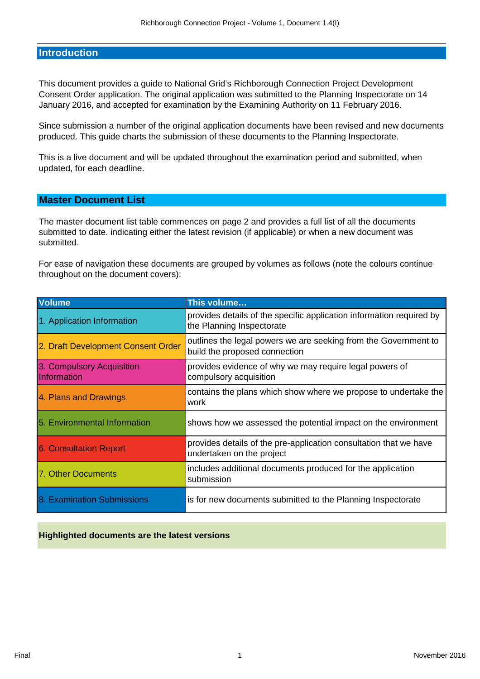#### **Introduction**

This document provides a guide to National Grid's Richborough Connection Project Development Consent Order application. The original application was submitted to the Planning Inspectorate on 14 January 2016, and accepted for examination by the Examining Authority on 11 February 2016.

Since submission a number of the original application documents have been revised and new documents produced. This guide charts the submission of these documents to the Planning Inspectorate.

This is a live document and will be updated throughout the examination period and submitted, when updated, for each deadline.

### **Master Document List**

The master document list table commences on page 2 and provides a full list of all the documents submitted to date. indicating either the latest revision (if applicable) or when a new document was submitted.

For ease of navigation these documents are grouped by volumes as follows (note the colours continue throughout on the document covers):

| <b>Volume</b>                            | This volume                                                                                       |
|------------------------------------------|---------------------------------------------------------------------------------------------------|
| 1. Application Information               | provides details of the specific application information required by<br>the Planning Inspectorate |
| 2. Draft Development Consent Order       | outlines the legal powers we are seeking from the Government to<br>build the proposed connection  |
| 3. Compulsory Acquisition<br>Information | provides evidence of why we may require legal powers of<br>compulsory acquisition                 |
| 4. Plans and Drawings                    | contains the plans which show where we propose to undertake the<br>work                           |
| 5. Environmental Information             | shows how we assessed the potential impact on the environment                                     |
| <b>6. Consultation Report</b>            | provides details of the pre-application consultation that we have<br>undertaken on the project    |
| 7. Other Documents                       | includes additional documents produced for the application<br>submission                          |
| 8. Examination Submissions               | is for new documents submitted to the Planning Inspectorate                                       |

#### **Highlighted documents are the latest versions**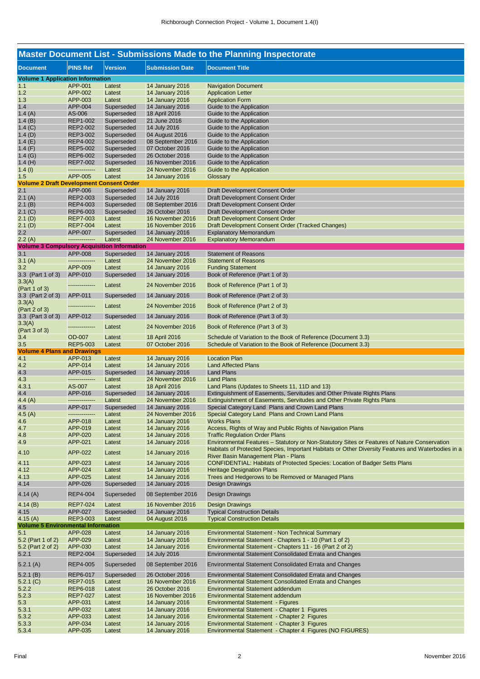| <b>Master Document List - Submissions Made to the Planning Inspectorate</b> |                    |                  |                                    |                                                                                                         |  |  |
|-----------------------------------------------------------------------------|--------------------|------------------|------------------------------------|---------------------------------------------------------------------------------------------------------|--|--|
| <b>Document</b>                                                             | <b>PINS Ref</b>    | Version          | <b>Submission Date</b>             | <b>Document Title</b>                                                                                   |  |  |
| <b>Volume 1 Application Information</b>                                     |                    |                  |                                    |                                                                                                         |  |  |
| 1.1                                                                         | APP-001            | Latest           | 14 January 2016                    | <b>Navigation Document</b>                                                                              |  |  |
| 1.2                                                                         | APP-002            | Latest           | 14 January 2016                    | <b>Application Letter</b>                                                                               |  |  |
| 1.3                                                                         | APP-003            | Latest           | 14 January 2016                    | <b>Application Form</b>                                                                                 |  |  |
| 1.4                                                                         | APP-004            | Superseded       | 14 January 2016                    | Guide to the Application                                                                                |  |  |
| 1.4 $(A)$                                                                   | AS-006             | Superseded       | 18 April 2016                      | Guide to the Application                                                                                |  |  |
| 1.4(B)                                                                      | <b>REP1-002</b>    | Superseded       | 21 June 2016                       | Guide to the Application                                                                                |  |  |
| 1.4(G)                                                                      | <b>REP2-002</b>    | Superseded       | 14 July 2016                       | Guide to the Application                                                                                |  |  |
| 1.4(D)                                                                      | REP3-002           | Superseded       | 04 August 2016                     | Guide to the Application                                                                                |  |  |
| 1.4 $(E)$                                                                   | REP4-002           | Superseded       | 08 September 2016                  | Guide to the Application                                                                                |  |  |
| 1.4 $(F)$                                                                   | <b>REP5-002</b>    | Superseded       | 07 October 2016                    | Guide to the Application                                                                                |  |  |
| 1.4 $(G)$                                                                   | REP6-002           | Superseded       | 26 October 2016                    | Guide to the Application                                                                                |  |  |
| 1.4 $(H)$                                                                   | <b>REP7-002</b>    | Superseded       | 16 November 2016                   | Guide to the Application                                                                                |  |  |
| $1.4$ (l)                                                                   | --------------     | Latest           | 24 November 2016                   | Guide to the Application                                                                                |  |  |
| 1.5                                                                         | APP-005            | Latest           | 14 January 2016                    | Glossary                                                                                                |  |  |
| <b>Volume 2 Draft Development Consent Order</b>                             |                    |                  |                                    |                                                                                                         |  |  |
| 2.1                                                                         | APP-006            | Superseded       | <b>14 January 2016</b>             | Draft Development Consent Order                                                                         |  |  |
| 2.1(A)                                                                      | REP2-003           | Superseded       | 14 July 2016                       | Draft Development Consent Order                                                                         |  |  |
| 2.1(B)                                                                      | REP4-003           | Superseded       | 08 September 2016                  | Draft Development Consent Order                                                                         |  |  |
| 2.1 (C)                                                                     | REP6-003           | Superseded       | 26 October 2016                    | Draft Development Consent Order                                                                         |  |  |
| 2.1(D)                                                                      | <b>REP7-003</b>    | Latest           | 16 November 2016                   | <b>Draft Development Consent Order</b>                                                                  |  |  |
| 2.1(D)                                                                      | <b>REP7-004</b>    | Latest           | 16 November 2016                   | Draft Development Consent Order (Tracked Changes)                                                       |  |  |
| 2.2                                                                         | APP-007            | Superseded       | 14 January 2016                    | <b>Explanatory Memorandum</b>                                                                           |  |  |
| 2.2(A)                                                                      | --------------     | Latest           | 24 November 2016                   | <b>Explanatory Memorandum</b>                                                                           |  |  |
| <b>Volume 3 Compulsory Acquisition Information</b>                          |                    |                  |                                    |                                                                                                         |  |  |
| 3.1                                                                         | APP-008            | Superseded       | 14 January 2016                    | <b>Statement of Reasons</b>                                                                             |  |  |
|                                                                             | --------------     | Latest           | 24 November 2016                   | <b>Statement of Reasons</b>                                                                             |  |  |
| 3.1(A)                                                                      | APP-009            |                  | 14 January 2016                    |                                                                                                         |  |  |
| 3.2<br>3.3 (Part 1 of 3)                                                    | APP-010            | Latest           |                                    | <b>Funding Statement</b><br>Book of Reference (Part 1 of 3)                                             |  |  |
|                                                                             |                    | Superseded       | 14 January 2016                    |                                                                                                         |  |  |
| 3.3(A)                                                                      |                    | Latest           | 24 November 2016                   | Book of Reference (Part 1 of 3)                                                                         |  |  |
| (Part 1 of 3)                                                               |                    |                  |                                    |                                                                                                         |  |  |
| 3.3 (Part 2 of 3)                                                           | APP-011            | Superseded       | 14 January 2016                    | Book of Reference (Part 2 of 3)                                                                         |  |  |
| 3.3(A)                                                                      |                    | Latest           | 24 November 2016                   | Book of Reference (Part 2 of 3)                                                                         |  |  |
| (Part 2 of 3)                                                               |                    |                  |                                    |                                                                                                         |  |  |
| 3.3 (Part 3 of 3)                                                           | APP-012            | Superseded       | 14 January 2016                    | Book of Reference (Part 3 of 3)                                                                         |  |  |
| 3.3(A)<br>(Part 3 of 3)                                                     |                    | Latest           | 24 November 2016                   | Book of Reference (Part 3 of 3)                                                                         |  |  |
| 3.4                                                                         | <b>OD-007</b>      | Latest           | 18 April 2016                      | Schedule of Variation to the Book of Reference (Document 3.3)                                           |  |  |
| 3.5                                                                         | <b>REP5-003</b>    | Latest           | 07 October 2016                    | Schedule of Variation to the Book of Reference (Document 3.3)                                           |  |  |
| <b>Volume 4 Plans and Drawings</b>                                          |                    |                  |                                    |                                                                                                         |  |  |
| 4.1                                                                         | APP-013            | Latest           | 14 January 2016                    | <b>Location Plan</b>                                                                                    |  |  |
| 4.2                                                                         | APP-014            | Latest           | 14 January 2016                    | <b>Land Affected Plans</b>                                                                              |  |  |
| 4.3                                                                         | APP-015            | Superseded       | <b>14 January 2016</b>             | <b>Land Plans</b>                                                                                       |  |  |
| 4.3                                                                         | --------------     | Latest           | 24 November 2016                   | <b>Land Plans</b>                                                                                       |  |  |
| 4.3.1                                                                       | AS-007             | Latest           | 18 April 2016                      | Land Plans (Updates to Sheets 11, 11D and 13)                                                           |  |  |
| 4.4                                                                         | APP-016            | Superseded       | 14 January 2016                    | Extinguishment of Easements, Servitudes and Other Private Rights Plans                                  |  |  |
| 4.4 $(A)$                                                                   | --------------     | Latest           | 24 November 2016                   | Extinguishment of Easements, Servitudes and Other Private Rights Plans                                  |  |  |
| 4.5                                                                         | APP-017            | Superseded       | 14 January 2016                    | Special Category Land Plans and Crown Land Plans                                                        |  |  |
| 4.5(A)                                                                      | --------------     | Latest           | 24 November 2016                   | Special Category Land Plans and Crown Land Plans                                                        |  |  |
| 4.6                                                                         | APP-018            | Latest           | 14 January 2016                    | <b>Works Plans</b>                                                                                      |  |  |
| 4.7                                                                         | APP-019            | Latest           | 14 January 2016                    | Access, Rights of Way and Public Rights of Navigation Plans                                             |  |  |
| 4.8                                                                         | APP-020            | Latest           | 14 January 2016                    | <b>Traffic Regulation Order Plans</b>                                                                   |  |  |
| 4.9                                                                         | APP-021            | Latest           | 14 January 2016                    | Environmental Features - Statutory or Non-Statutory Sites or Features of Nature Conservation            |  |  |
| 4.10                                                                        | APP-022            | Latest           | 14 January 2016                    | Habitats of Protected Species, Important Habitats or Other Diversity Features and Waterbodies in a      |  |  |
|                                                                             |                    |                  |                                    | River Basin Management Plan - Plans                                                                     |  |  |
| 4.11                                                                        | APP-023            | Latest           | <b>14 January 2016</b>             | CONFIDENTIAL: Habitats of Protected Species: Location of Badger Setts Plans                             |  |  |
| 4.12                                                                        | APP-024            | Latest           | 14 January 2016                    | <b>Heritage Designation Plans</b>                                                                       |  |  |
| 4.13                                                                        | APP-025            | Latest           | 14 January 2016                    | Trees and Hedgerows to be Removed or Managed Plans                                                      |  |  |
| 4.14                                                                        | APP-026            | Superseded       | 14 January 2016                    | Design Drawings                                                                                         |  |  |
| 4.14 $(A)$                                                                  | <b>REP4-004</b>    | Superseded       | 08 September 2016                  | <b>Design Drawings</b>                                                                                  |  |  |
| 4.14(B)                                                                     | <b>REP7-024</b>    | Latest           | 16 November 2016                   | <b>Design Drawings</b>                                                                                  |  |  |
| 4.15                                                                        | APP-027            | Superseded       | 14 January 2016                    | <b>Typical Construction Details</b>                                                                     |  |  |
| 4.15(A)                                                                     | REP3-003           | Latest           | 04 August 2016                     | <b>Typical Construction Details</b>                                                                     |  |  |
| <b>Volume 5 Environmental Information</b>                                   |                    |                  |                                    |                                                                                                         |  |  |
| 5.1                                                                         | APP-028            | Latest           | <b>14 January 2016</b>             | <b>Environmental Statement - Non Technical Summary</b>                                                  |  |  |
| 5.2 (Part 1 of 2)<br>5.2 (Part 2 of 2)                                      | APP-029            | Latest           | 14 January 2016                    | Environmental Statement - Chapters 1 - 10 (Part 1 of 2)                                                 |  |  |
|                                                                             |                    |                  |                                    | Environmental Statement - Chapters 11 - 16 (Part 2 of 2)                                                |  |  |
|                                                                             | APP-030            | Latest           | 14 January 2016                    |                                                                                                         |  |  |
|                                                                             | <b>REP2-004</b>    | Superseded       | 14 July 2016                       | <b>Environmental Statement Consolidated Errata and Changes</b>                                          |  |  |
|                                                                             | <b>REP4-005</b>    | Superseded       | 08 September 2016                  | Environmental Statement Consolidated Errata and Changes                                                 |  |  |
|                                                                             | REP6-017           | Superseded       | 26 October 2016                    | Environmental Statement Consolidated Errata and Changes                                                 |  |  |
|                                                                             | <b>REP7-015</b>    | Latest           | 16 November 2016                   | <b>Environmental Statement Consolidated Errata and Changes</b>                                          |  |  |
|                                                                             | REP6-018           | Latest           | 26 October 2016                    | <b>Environmental Statement addendum</b>                                                                 |  |  |
|                                                                             | <b>REP7-027</b>    | Latest           | 16 November 2016                   | <b>Environmental Statement addendum</b>                                                                 |  |  |
| 5.2.1<br>5.2.1(A)<br>5.2.1(B)<br>5.2.1(C)<br>5.2.2<br>5.2.3<br>5.3          | APP-031            | Latest           | 14 January 2016                    | <b>Environmental Statement - Figures</b>                                                                |  |  |
| 5.3.1                                                                       | APP-032            | Latest           | 14 January 2016                    | Environmental Statement - Chapter 1 Figures                                                             |  |  |
| 5.3.2                                                                       | APP-033            | Latest           | 14 January 2016                    | Environmental Statement - Chapter 2 Figures                                                             |  |  |
| 5.3.3<br>5.3.4                                                              | APP-034<br>APP-035 | Latest<br>Latest | 14 January 2016<br>14 January 2016 | Environmental Statement - Chapter 3 Figures<br>Environmental Statement - Chapter 4 Figures (NO FIGURES) |  |  |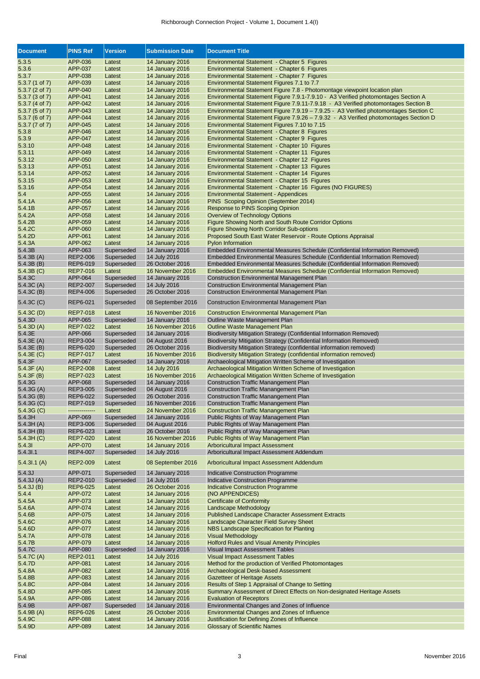| <b>Document</b>     | <b>PINS Ref</b>                    | <b>Version</b>           | <b>Submission Date</b>            | <b>Document Title</b>                                                                        |
|---------------------|------------------------------------|--------------------------|-----------------------------------|----------------------------------------------------------------------------------------------|
| 5.3.5               | APP-036                            | Latest                   | 14 January 2016                   | Environmental Statement - Chapter 5 Figures                                                  |
| 5.3.6               | APP-037                            | Latest                   | <b>14 January 2016</b>            | Environmental Statement - Chapter 6 Figures                                                  |
| 5.3.7               | APP-038                            | Latest                   | 14 January 2016                   | Environmental Statement - Chapter 7 Figures                                                  |
| 5.3.7 (1 of 7)      | APP-039                            | Latest                   | 14 January 2016                   | Environmental Statement Figures 7.1 to 7.7                                                   |
| 5.3.7 (2 of 7)      | APP-040                            | Latest                   | <b>14 January 2016</b>            | Environmental Statement Figure 7.8 - Photomontage viewpoint location plan                    |
| 5.3.7 (3 of 7)      | APP-041                            | Latest                   | 14 January 2016                   | Environmental Statement Figure 7.9.1-7.9.10 - A3 Verified photomontages Section A            |
| 5.3.7 (4 of 7)      | APP-042                            | Latest                   | 14 January 2016                   | Environmental Statement Figure 7.9.11-7.9.18 - A3 Verified photomontages Section B           |
| 5.3.7 (5 of 7)      | APP-043                            | Latest                   | 14 January 2016                   | Environmental Statement Figure 7.9.19 - 7.9.25 - A3 Verified photomontages Section C         |
| 5.3.7 (6 of 7)      | APP-044                            | Latest                   | <b>14 January 2016</b>            | Environmental Statement Figure 7.9.26 - 7.9.32 - A3 Verified photomontages Section D         |
| 5.3.7 (7 of 7)      | APP-045                            | Latest                   | 14 January 2016                   | Environmental Statement Figures 7.10 to 7.15                                                 |
| 5.3.8               | APP-046                            | Latest                   | 14 January 2016                   | Environmental Statement - Chapter 8 Figures                                                  |
| 5.3.9               | <b>APP-047</b>                     | Latest                   | 14 January 2016                   | Environmental Statement - Chapter 9 Figures                                                  |
| 5.3.10              | APP-048                            | Latest                   | 14 January 2016                   | Environmental Statement - Chapter 10 Figures                                                 |
| 5.3.11              | APP-049                            | Latest                   | <b>14 January 2016</b>            | Environmental Statement - Chapter 11 Figures                                                 |
| 5.3.12              | APP-050                            | Latest                   | 14 January 2016                   | Environmental Statement - Chapter 12 Figures                                                 |
| 5.3.13              | APP-051                            | Latest                   | 14 January 2016                   | Environmental Statement - Chapter 13 Figures                                                 |
| 5.3.14              | APP-052                            | Latest                   | 14 January 2016                   | Environmental Statement - Chapter 14 Figures                                                 |
| 5.3.15              | APP-053                            | Latest                   | 14 January 2016                   | Environmental Statement - Chapter 15 Figures                                                 |
| 5.3.16              | APP-054                            | Latest                   | <b>14 January 2016</b>            | Environmental Statement - Chapter 16 Figures (NO FIGURES)                                    |
| 5.4                 | APP-055                            | Latest                   | 14 January 2016                   | <b>Environmental Statement - Appendices</b>                                                  |
| 5.4.1A              | APP-056                            | Latest                   | 14 January 2016                   | PINS Scoping Opinion (September 2014)                                                        |
| 5.4.1B              | APP-057                            | Latest                   | <b>14 January 2016</b>            | Response to PINS Scoping Opinion                                                             |
| 5.4.2A              | APP-058                            | Latest                   | 14 January 2016                   | Overview of Technology Options                                                               |
| 5.4.2B              | APP-059                            | Latest                   | 14 January 2016                   | Figure Showing North and South Route Corridor Options                                        |
| 5.4.2C              | APP-060                            | Latest                   | <b>14 January 2016</b>            | <b>Figure Showing North Corridor Sub-options</b>                                             |
| 5.4.2D              | APP-061                            | Latest                   | 14 January 2016                   | Proposed South East Water Reservoir - Route Options Appraisal                                |
| 5.4.3A              | APP-062                            | Latest                   | 14 January 2016                   | <b>Pylon Information</b>                                                                     |
| 5.4.3B              | APP-063                            | Superseded               | 14 January 2016                   | Embedded Environmental Measures Schedule (Confidential Information Removed)                  |
| 5.4.3B(A)           | <b>REP2-006</b>                    | Superseded               | 14 July 2016                      | Embedded Environmental Measures Schedule (Confidential Information Removed)                  |
| 5.4.3B(B)           | REP6-019                           | Superseded               | 26 October 2016                   | Embedded Environmental Measures Schedule (Confidential Information Removed)                  |
| 5.4.3B(C)           | <b>REP7-016</b>                    | Latest                   | 16 November 2016                  | Embedded Environmental Measures Schedule (Confidential Information Removed)                  |
| 5.4.3C              | APP-064                            | Superseded               | 14 January 2016                   | <b>Construction Environmental Management Plan</b>                                            |
| 5.4.3C (A)          | <b>REP2-007</b>                    | Superseded               | 14 July 2016                      | <b>Construction Environmental Management Plan</b>                                            |
| 5.4.3C (B)          | <b>REP4-006</b>                    | Superseded               | 26 October 2016                   | <b>Construction Environmental Management Plan</b>                                            |
| 5.4.3C (C)          | <b>REP6-021</b>                    | Superseded               | 08 September 2016                 | <b>Construction Environmental Management Plan</b>                                            |
|                     |                                    |                          |                                   |                                                                                              |
| 5.4.3C (D)          | <b>REP7-018</b>                    | Latest                   | 16 November 2016                  | <b>Construction Environmental Management Plan</b>                                            |
| 5.4.3D              | APP-065                            | Superseded               | 14 January 2016                   | Outline Waste Management Plan                                                                |
| 5.4.3D (A)          | <b>REP7-022</b>                    | Latest                   | 16 November 2016                  | Outline Waste Management Plan                                                                |
| 5.4.3E              | APP-066                            | Superseded               | 14 January 2016                   | Biodiversity Mitigation Strategy (Confidential Information Removed)                          |
| 5.4.3E (A)          | REP3-004                           | Superseded               | 04 August 2016                    | Biodiversity Mitigation Strategy (Confidential Information Removed)                          |
| 5.4.3E (B)          | REP6-020                           | Superseded               | 26 October 2016                   | Biodiversity Mitigation Strategy (confidential information removed)                          |
| 5.4.3E (C)          | <b>REP7-017</b>                    | Latest                   | 16 November 2016                  | Biodiversity Mitigation Strategy (confidential information removed)                          |
| 5.4.3F              | APP-067                            | Superseded               | 14 January 2016                   | Archaeological Mitigation Written Scheme of Investigation                                    |
| 5.4.3F (A)          | <b>REP2-008</b><br><b>REP7-023</b> | Latest                   | 14 July 2016<br>16 November 2016  | Archaeological Mitigation Written Scheme of Investigation                                    |
| 5.4.3F (B)          |                                    | Latest                   |                                   | Archaeological Mitigation Written Scheme of Investigation                                    |
| 5.4.3G<br>5.4.3G(A) | APP-068                            | Superseded<br>Superseded | 14 January 2016                   | <b>Construction Traffic Manangement Plan</b>                                                 |
| 5.4.3G (B)          | REP3-005<br>REP6-022               | Superseded               | 04 August 2016<br>26 October 2016 | <b>Construction Traffic Manangement Plan</b><br><b>Construction Traffic Manangement Plan</b> |
| 5.4.3G (C)          | REP7-019                           | Superseded               | 16 November 2016                  | Construction Traffic Manangement Plan                                                        |
| 5.4.3G (C)          | --------------                     | Latest                   | 24 November 2016                  | <b>Construction Traffic Manangement Plan</b>                                                 |
| 5.4.3H              | APP-069                            | Superseded               | 14 January 2016                   | Public Rights of Way Management Plan                                                         |
| 5.4.3H(A)           | REP3-006                           | Superseded               | 04 August 2016                    | Public Rights of Way Management Plan                                                         |
| 5.4.3H(B)           | REP6-023                           | Latest                   | 26 October 2016                   | Public Rights of Way Management Plan                                                         |
| 5.4.3H(C)           | <b>REP7-020</b>                    | Latest                   | 16 November 2016                  | Public Rights of Way Management Plan                                                         |
| 5.4.31              | APP-070                            | Latest                   | <b>14 January 2016</b>            | <b>Arboricultural Impact Assessment</b>                                                      |
| 5.4.31.1            | <b>REP4-007</b>                    | Superseded               | 14 July 2016                      | Arboricultural Impact Assessment Addendum                                                    |
|                     |                                    |                          |                                   |                                                                                              |
| 5.4.31.1(A)         | <b>REP2-009</b>                    | Latest                   | 08 September 2016                 | Arboricultural Impact Assessment Addendum                                                    |
| 5.4.3J              | APP-071                            | Superseded               | 14 January 2016                   | <b>Indicative Construction Programme</b>                                                     |
| 5.4.3J(A)           | REP2-010                           | Superseded               | 14 July 2016                      | <b>Indicative Construction Programme</b>                                                     |
| 5.4.3J(B)           | REP6-025                           | Latest                   | 26 October 2016                   | <b>Indicative Construction Programme</b>                                                     |
| 5.4.4               | APP-072                            | Latest                   | <b>14 January 2016</b>            | (NO APPENDICES)                                                                              |
| 5.4.5A              | APP-073                            | Latest                   | <b>14 January 2016</b>            | <b>Certificate of Conformity</b>                                                             |
| 5.4.6A              | APP-074                            | Latest                   | 14 January 2016                   | Landscape Methodology                                                                        |
| 5.4.6B              | APP-075                            | Latest                   | 14 January 2016                   | <b>Published Landscape Character Assessment Extracts</b>                                     |
| 5.4.6C              | APP-076                            | Latest                   | <b>14 January 2016</b>            | Landscape Character Field Survey Sheet                                                       |
| 5.4.6D              | APP-077                            | Latest                   | <b>14 January 2016</b>            | NBS Landscape Specification for Planting                                                     |
| 5.4.7A              | APP-078                            | Latest                   | <b>14 January 2016</b>            | <b>Visual Methodology</b>                                                                    |
| 5.4.7B              | APP-079                            | Latest                   | 14 January 2016                   | <b>Holford Rules and Visual Amenity Principles</b>                                           |
| 5.4.7C              | APP-080                            | Superseded               | 14 January 2016                   | <b>Visual Impact Assessment Tables</b>                                                       |
| 5.4.7C (A)          | <b>REP2-011</b>                    | Latest                   | 14 July 2016                      | <b>Visual Impact Assessment Tables</b>                                                       |
| 5.4.7D              | APP-081                            | Latest                   | <b>14 January 2016</b>            | Method for the production of Verified Photomontages                                          |
| 5.4.8A              | APP-082                            | Latest                   | <b>14 January 2016</b>            | Archaeological Desk-based Assessment                                                         |
| 5.4.8B              | APP-083                            | Latest                   | <b>14 January 2016</b>            | <b>Gazetteer of Heritage Assets</b>                                                          |
| 5.4.8C              | APP-084                            | Latest                   | <b>14 January 2016</b>            | Results of Step 1 Appraisal of Change to Setting                                             |
| 5.4.8D              | APP-085                            | Latest                   | <b>14 January 2016</b>            | Summary Assessment of Direct Effects on Non-designated Heritage Assets                       |
| 5.4.9A              | APP-086                            | Latest                   | 14 January 2016                   | <b>Evaluation of Receptors</b>                                                               |
| 5.4.9B              | APP-087                            | Superseded               | 14 January 2016                   | Environmental Changes and Zones of Influence                                                 |
| 5.4.9B (A)          | REP6-026                           | Latest                   | 26 October 2016                   | Environmental Changes and Zones of Influence                                                 |
| 5.4.9C              | APP-088                            | Latest                   | <b>14 January 2016</b>            | Justification for Defining Zones of Influence                                                |
| 5.4.9D              | APP-089                            | Latest                   | <b>14 January 2016</b>            | <b>Glossary of Scientific Names</b>                                                          |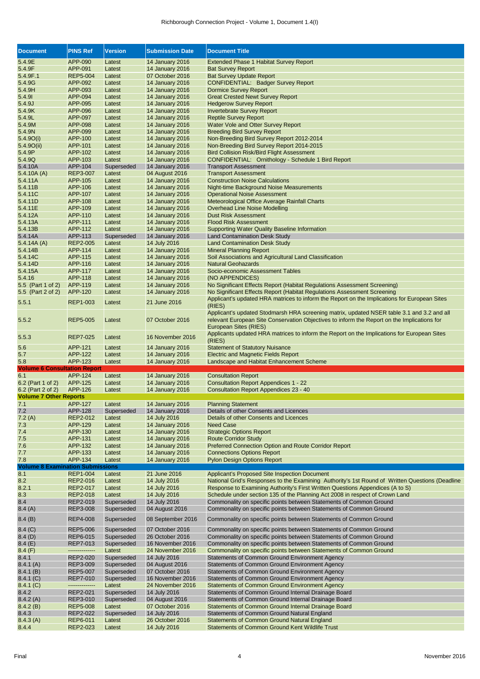#### Richborough Connection Project - Volume 1, Document 1.4(I)

| <b>Document</b>                         | <b>PINS Ref</b>      | <b>Version</b>       | <b>Submission Date</b>                           | <b>Document Title</b>                                                                             |
|-----------------------------------------|----------------------|----------------------|--------------------------------------------------|---------------------------------------------------------------------------------------------------|
| 5.4.9E                                  | APP-090              | Latest               | <b>14 January 2016</b>                           | <b>Extended Phase 1 Habitat Survey Report</b>                                                     |
| 5.4.9F                                  | APP-091              | Latest               | <b>14 January 2016</b>                           | <b>Bat Survey Report</b>                                                                          |
| 5.4.9F.1                                | <b>REP5-004</b>      | Latest               | 07 October 2016                                  | <b>Bat Survey Update Report</b>                                                                   |
| 5.4.9G                                  | APP-092              | Latest               | <b>14 January 2016</b>                           | <b>CONFIDENTIAL: Badger Survey Report</b>                                                         |
| 5.4.9H                                  | APP-093              | Latest               | <b>14 January 2016</b>                           | <b>Dormice Survey Report</b>                                                                      |
| 5.4.9                                   | APP-094              | Latest               | <b>14 January 2016</b>                           | <b>Great Crested Newt Survey Report</b>                                                           |
| 5.4.9J                                  | APP-095              | Latest               | <b>14 January 2016</b>                           | <b>Hedgerow Survey Report</b>                                                                     |
| 5.4.9K                                  | APP-096              | Latest               | <b>14 January 2016</b>                           | <b>Invertebrate Survey Report</b>                                                                 |
| 5.4.9L                                  | APP-097              | Latest               | 14 January 2016                                  | <b>Reptile Survey Report</b>                                                                      |
| 5.4.9M                                  | APP-098              | Latest               | <b>14 January 2016</b>                           | Water Vole and Otter Survey Report                                                                |
| 5.4.9N                                  | APP-099              | Latest               | <b>14 January 2016</b>                           | <b>Breeding Bird Survey Report</b>                                                                |
|                                         | APP-100              |                      | <b>14 January 2016</b>                           |                                                                                                   |
| 5.4.9O(i)                               |                      | Latest               | <b>14 January 2016</b>                           | Non-Breeding Bird Survey Report 2012-2014<br>Non-Breeding Bird Survey Report 2014-2015            |
| 5.4.9O(i)                               | APP-101<br>APP-102   | Latest               |                                                  |                                                                                                   |
| 5.4.9P                                  |                      | Latest               | <b>14 January 2016</b><br><b>14 January 2016</b> | <b>Bird Collision Risk/Bird Flight Assessment</b>                                                 |
| 5.4.9Q                                  | APP-103              | Latest               |                                                  | CONFIDENTIAL: Ornithology - Schedule 1 Bird Report                                                |
| 5.4.10A                                 | APP-104              | Superseded           | 14 January 2016                                  | <b>Transport Assessment</b>                                                                       |
| 5.4.10A(A)                              | <b>REP3-007</b>      | Latest               | 04 August 2016                                   | <b>Transport Assessment</b>                                                                       |
| 5.4.11A                                 | APP-105              | Latest               | 14 January 2016                                  | <b>Construction Noise Calculations</b>                                                            |
| 5.4.11B                                 | APP-106              | Latest               | <b>14 January 2016</b>                           | Night-time Background Noise Measurements                                                          |
| 5.4.11C                                 | APP-107              | Latest               | <b>14 January 2016</b>                           | <b>Operational Noise Assessment</b>                                                               |
| 5.4.11D                                 | APP-108              | Latest               | <b>14 January 2016</b>                           | Meteorological Office Average Rainfall Charts                                                     |
| 5.4.11E                                 | APP-109              | Latest               | <b>14 January 2016</b>                           | Overhead Line Noise Modelling                                                                     |
| 5.4.12A                                 | APP-110              | Latest               | <b>14 January 2016</b>                           | <b>Dust Risk Assessment</b>                                                                       |
| 5.4.13A                                 | APP-111              | Latest               | <b>14 January 2016</b>                           | <b>Flood Risk Assessment</b>                                                                      |
| 5.4.13B                                 | APP-112              | Latest               | <b>14 January 2016</b>                           | <b>Supporting Water Quality Baseline Information</b>                                              |
| 5.4.14A                                 | APP-113              | Superseded           | 14 January 2016                                  | <b>Land Contamination Desk Study</b>                                                              |
| 5.4.14A(A)                              | <b>REP2-005</b>      | Latest               | 14 July 2016                                     | <b>Land Contamination Desk Study</b>                                                              |
| 5.4.14B                                 | APP-114              | Latest               | <b>14 January 2016</b>                           | <b>Mineral Planning Report</b>                                                                    |
| 5.4.14C                                 | APP-115              | Latest               | <b>14 January 2016</b>                           | Soil Associations and Agricultural Land Classification                                            |
| 5.4.14D                                 | APP-116              | Latest               | <b>14 January 2016</b>                           | <b>Natural Geohazards</b>                                                                         |
| 5.4.15A                                 | APP-117              | Latest               | <b>14 January 2016</b>                           | Socio-economic Assessment Tables                                                                  |
| 5.4.16                                  | APP-118              | Latest               | <b>14 January 2016</b>                           | (NO APPENDICES)                                                                                   |
| 5.5 (Part 1 of 2)                       | APP-119              | Latest               | <b>14 January 2016</b>                           | No Significant Effects Report (Habitat Regulations Assessment Screening)                          |
| 5.5 (Part 2 of 2)                       | APP-120              | Latest               | <b>14 January 2016</b>                           | No Significant Effects Report (Habitat Regulations Assessment Screening                           |
| 5.5.1                                   | REP1-003             | Latest               | 21 June 2016                                     | Applicant's updated HRA matrices to inform the Report on the Implications for European Sites      |
|                                         |                      |                      |                                                  | (RIES)                                                                                            |
|                                         |                      |                      |                                                  | Applicant's updated Stodmarsh HRA screening matrix, updated NSER table 3.1 and 3.2 and all        |
| 5.5.2                                   | <b>REP5-005</b>      | Latest               | 07 October 2016                                  | relevant European Site Conservation Objectives to inform the Report on the Implications for       |
|                                         |                      |                      |                                                  | European Sites (RIES)                                                                             |
|                                         |                      |                      |                                                  | Applicants updated HRA matrices to inform the Report on the Implications for European Sites       |
|                                         |                      |                      |                                                  |                                                                                                   |
| 5.5.3                                   | <b>REP7-025</b>      | Latest               | 16 November 2016                                 | (RIES)                                                                                            |
| 5.6                                     |                      | Latest               | <b>14 January 2016</b>                           | <b>Statement of Statutory Nuisance</b>                                                            |
| 5.7                                     | APP-121<br>APP-122   | Latest               | <b>14 January 2016</b>                           | <b>Electric and Magnetic Fields Report</b>                                                        |
| 5.8                                     | APP-123              | Latest               | <b>14 January 2016</b>                           | Landscape and Habitat Enhancement Scheme                                                          |
| <b>Volume 6 Consultation Report</b>     |                      |                      |                                                  |                                                                                                   |
| 6.1                                     | APP-124              | Latest               | <b>14 January 2016</b>                           | <b>Consultation Report</b>                                                                        |
| 6.2 (Part 1 of 2)                       | APP-125              | Latest               | <b>14 January 2016</b>                           | <b>Consultation Report Appendices 1 - 22</b>                                                      |
| 6.2 (Part 2 of 2)                       | APP-126              | Latest               | <b>14 January 2016</b>                           | <b>Consultation Report Appendices 23 - 40</b>                                                     |
| <b>Volume 7 Other Reports</b>           |                      |                      |                                                  |                                                                                                   |
| 7.1                                     | APP-127              | Latest               | <b>14 January 2016</b>                           | <b>Planning Statement</b>                                                                         |
| 7.2                                     | APP-128              | Superseded           | 14 January 2016                                  | Details of other Consents and Licences                                                            |
| 7.2(A)                                  | REP2-012             | Latest               | 14 July 2016                                     | Details of other Consents and Licences                                                            |
| 7.3                                     | APP-129              | Latest               | 14 January 2016                                  | <b>Need Case</b>                                                                                  |
| 7.4                                     | APP-130              | Latest               | <b>14 January 2016</b>                           | <b>Strategic Options Report</b>                                                                   |
| 7.5                                     | APP-131              | Latest               | <b>14 January 2016</b>                           | <b>Route Corridor Study</b>                                                                       |
| 7.6                                     | APP-132              | Latest               | 14 January 2016                                  | <b>Preferred Connection Option and Route Corridor Report</b>                                      |
| 7.7                                     | APP-133              | Latest               | <b>14 January 2016</b>                           | <b>Connections Options Report</b>                                                                 |
| 7.8                                     | APP-134              | Latest               | <b>14 January 2016</b>                           | <b>Pylon Design Options Report</b>                                                                |
| <b>Volume 8 Examination Submissions</b> |                      |                      |                                                  |                                                                                                   |
| 8.1                                     | <b>REP1-004</b>      | Latest               | 21 June 2016                                     | <b>Applicant's Proposed Site Inspection Document</b>                                              |
| 8.2                                     | REP2-016             | Latest               | 14 July 2016                                     | National Grid's Responses to the Examining Authority's 1st Round of Written Questions (Deadline   |
| 8.2.1                                   | <b>REP2-017</b>      | Latest               | 14 July 2016                                     | Response to Examining Authority's First Written Questions Appendices (A to S)                     |
| 8.3                                     | REP2-018             | Latest               | 14 July 2016                                     | Schedule under section 135 of the Planning Act 2008 in respect of Crown Land                      |
|                                         |                      |                      | 14 July 2016                                     |                                                                                                   |
| 8.4                                     | REP2-019             | Superseded           |                                                  | Commonality on specific points between Statements of Common Ground                                |
| 8.4(A)                                  | REP3-008             | Superseded           | 04 August 2016                                   | Commonality on specific points between Statements of Common Ground                                |
| 8.4(B)                                  | <b>REP4-008</b>      | Superseded           | 08 September 2016                                | Commonality on specific points between Statements of Common Ground                                |
| 8.4 (C)                                 | <b>REP5-006</b>      | Superseded           | 07 October 2016                                  | Commonality on specific points between Statements of Common Ground                                |
| 8.4(D)                                  | REP6-015             | Superseded           | 26 October 2016                                  | Commonality on specific points between Statements of Common Ground                                |
| 8.4(E)                                  | REP7-013             | Superseded           | 16 November 2016                                 | Commonality on specific points between Statements of Common Ground                                |
| 8.4(F)                                  | --------------       | Latest               | 24 November 2016                                 | Commonality on specific points between Statements of Common Ground                                |
| 8.4.1                                   | REP2-020             | Superseded           | 14 July 2016                                     | Statements of Common Ground Environment Agency                                                    |
|                                         | REP3-009             | Superseded           | 04 August 2016                                   | Statements of Common Ground Environment Agency                                                    |
| 8.4.1(A)                                | <b>REP5-007</b>      | Superseded           | 07 October 2016                                  | Statements of Common Ground Environment Agency                                                    |
| 8.4.1(B)                                | REP7-010             | Superseded           | 16 November 2016                                 | Statements of Common Ground Environment Agency                                                    |
| 8.4.1(C)                                | --------------       | Latest               | 24 November 2016                                 | <b>Statements of Common Ground Environment Agency</b>                                             |
| 8.4.1(C)<br>8.4.2                       | REP2-021             |                      |                                                  |                                                                                                   |
|                                         |                      | Superseded           | 14 July 2016                                     | Statements of Common Ground Internal Drainage Board                                               |
| 8.4.2(A)                                | REP3-010             | Superseded<br>Latest | 04 August 2016                                   | Statements of Common Ground Internal Drainage Board                                               |
| 8.4.2(B)                                | <b>REP5-008</b>      |                      | 07 October 2016                                  | Statements of Common Ground Internal Drainage Board                                               |
| 8.4.3<br>8.4.3(A)                       | REP2-022<br>REP6-011 | Superseded<br>Latest | 14 July 2016<br>26 October 2016                  | Statements of Common Ground Natural England<br><b>Statements of Common Ground Natural England</b> |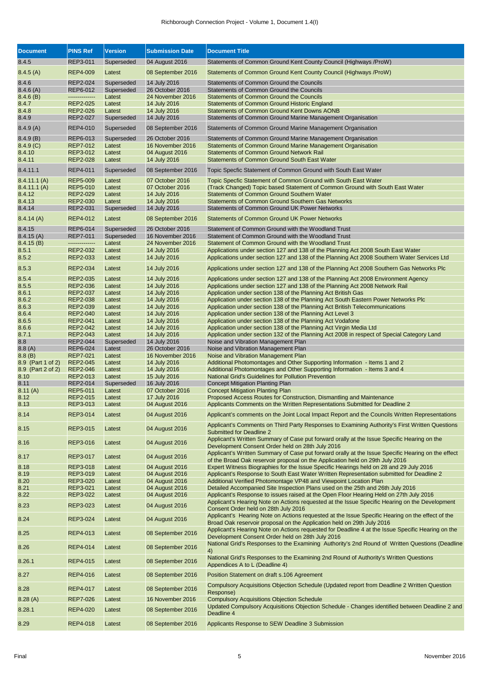| <b>Document</b>   | <b>PINS Ref</b> | <b>Version</b> | <b>Submission Date</b> | <b>Document Title</b>                                                                                                                                                       |
|-------------------|-----------------|----------------|------------------------|-----------------------------------------------------------------------------------------------------------------------------------------------------------------------------|
| 8.4.5             | REP3-011        | Superseded     | 04 August 2016         | Statements of Common Ground Kent County Council (Highways /ProW)                                                                                                            |
| 8.4.5(A)          | <b>REP4-009</b> | Latest         | 08 September 2016      | Statements of Common Ground Kent County Council (Highways /ProW)                                                                                                            |
| 8.4.6             | REP2-024        | Superseded     | 14 July 2016           | Statements of Common Ground the Councils                                                                                                                                    |
| 8.4.6(A)          | REP6-012        | Superseded     | 26 October 2016        | Statements of Common Ground the Councils                                                                                                                                    |
| 8.4.6(B)          | --------------  | Latest         | 24 November 2016       | <b>Statements of Common Ground the Councils</b>                                                                                                                             |
|                   | <b>REP2-025</b> |                |                        | <b>Statements of Common Ground Historic England</b>                                                                                                                         |
| 8.4.7             |                 | Latest         | 14 July 2016           |                                                                                                                                                                             |
| 8.4.8             | REP2-026        | Latest         | 14 July 2016           | <b>Statements of Common Ground Kent Downs AONB</b>                                                                                                                          |
| 8.4.9             | REP2-027        | Superseded     | 14 July 2016           | Statements of Common Ground Marine Management Organisation                                                                                                                  |
| 8.4.9(A)          | REP4-010        | Superseded     | 08 September 2016      | Statements of Common Ground Marine Management Organisation                                                                                                                  |
| 8.4.9(B)          | REP6-013        | Superseded     | 26 October 2016        | Statements of Common Ground Marine Management Organisation                                                                                                                  |
| 8.4.9(C)          | <b>REP7-012</b> | Latest         | 16 November 2016       | Statements of Common Ground Marine Management Organisation                                                                                                                  |
| 8.4.10            | REP3-012        | Latest         | 04 August 2016         | <b>Statements of Common Ground Network Rail</b>                                                                                                                             |
| 8.4.11            | REP2-028        | Latest         | 14 July 2016           | <b>Statements of Common Ground South East Water</b>                                                                                                                         |
| 8.4.11.1          | REP4-011        | Superseded     | 08 September 2016      | Topic Specfic Statement of Common Ground with South East Water                                                                                                              |
| 8.4.11.1(A)       | <b>REP5-009</b> | Latest         | 07 October 2016        | Topic Specfic Statement of Common Ground with South East Water                                                                                                              |
| 8.4.11.1 (A)      | REP5-010        | Latest         | 07 October 2016        | (Track Changed) Topic based Statement of Common Ground with South East Water                                                                                                |
| 8.4.12            | REP2-029        | Latest         | 14 July 2016           | <b>Statements of Common Ground Southern Water</b>                                                                                                                           |
| 8.4.13            | REP2-030        | Latest         | 14 July 2016           | <b>Statements of Common Ground Southern Gas Networks</b>                                                                                                                    |
|                   |                 |                | 14 July 2016           | <b>Statements of Common Ground UK Power Networks</b>                                                                                                                        |
| 8.4.14            | REP2-031        | Superseded     |                        |                                                                                                                                                                             |
| 8.4.14(A)         | <b>REP4-012</b> | Latest         | 08 September 2016      | <b>Statements of Common Ground UK Power Networks</b>                                                                                                                        |
| 8.4.15            | REP6-014        | Superseded     | 26 October 2016        | Statement of Common Ground with the Woodland Trust                                                                                                                          |
| 8.4.15(A)         | <b>REP7-011</b> | Superseded     | 16 November 2016       | Statement of Common Ground with the Woodland Trust                                                                                                                          |
| 8.4.15(B)         | --------------  | Latest         | 24 November 2016       | Statement of Common Ground with the Woodland Trust                                                                                                                          |
| 8.5.1             | <b>REP2-032</b> | Latest         | 14 July 2016           | Applications under section 127 and 138 of the Planning Act 2008 South East Water                                                                                            |
| 8.5.2             | REP2-033        | Latest         | 14 July 2016           | Applications under section 127 and 138 of the Planning Act 2008 Southern Water Services Ltd                                                                                 |
| 8.5.3             | <b>REP2-034</b> | Latest         | 14 July 2016           | Applications under section 127 and 138 of the Planning Act 2008 Southern Gas Networks Plc                                                                                   |
|                   |                 |                |                        |                                                                                                                                                                             |
| 8.5.4             | REP2-035        | Latest         | 14 July 2016           | Applications under section 127 and 138 of the Planning Act 2008 Environment Agency                                                                                          |
| 8.5.5             | REP2-036        | Latest         | 14 July 2016           | Applications under section 127 and 138 of the Planning Act 2008 Network Rail                                                                                                |
| 8.6.1             | REP2-037        | Latest         | 14 July 2016           | Application under section 138 of the Planning Act British Gas                                                                                                               |
| 8.6.2             | REP2-038        | Latest         | 14 July 2016           | Application under section 138 of the Planning Act South Eastern Power Networks Plc                                                                                          |
| 8.6.3             | REP2-039        | Latest         | 14 July 2016           | Application under section 138 of the Planning Act British Telecommunications                                                                                                |
| 8.6.4             | REP2-040        | Latest         | 14 July 2016           | Application under section 138 of the Planning Act Level 3                                                                                                                   |
| 8.6.5             | REP2-041        | Latest         | 14 July 2016           | Application under section 138 of the Planning Act Vodafone                                                                                                                  |
| 8.6.6             | <b>REP2-042</b> | Latest         | 14 July 2016           | Application under section 138 of the Planning Act Virgin Media Ltd                                                                                                          |
| 8.7.1             | REP2-043        | Latest         | 14 July 2016           | Application under section 132 of the Planning Act 2008 in respect of Special Category Land                                                                                  |
| 8.8               | REP2-044        | Superseded     | 14 July 2016           | Noise and Vibration Management Plan                                                                                                                                         |
| 8.8(A)            | REP6-024        | Latest         | 26 October 2016        | Noise and Vibration Management Plan                                                                                                                                         |
| 8.8(B)            | <b>REP7-021</b> | Latest         | 16 November 2016       | Noise and Vibration Management Plan                                                                                                                                         |
| 8.9 (Part 1 of 2) | <b>REP2-045</b> | Latest         | 14 July 2016           | Additional Photomontages and Other Supporting Information - Items 1 and 2                                                                                                   |
| 8.9 (Part 2 of 2) | <b>REP2-046</b> | Latest         | 14 July 2016           | Additional Photomontages and Other Supporting Information - Items 3 and 4                                                                                                   |
| 8.10              | REP2-013        | Latest         | 15 July 2016           | National Grid's Guidelines for Pollution Prevention                                                                                                                         |
| 8.11              | REP2-014        | Superseded     | 16 July 2016           | <b>Concept Mitigation Planting Plan</b>                                                                                                                                     |
| 8.11(A)           | <b>REP5-011</b> | Latest         | 07 October 2016        | <b>Concept Mitigation Planting Plan</b>                                                                                                                                     |
| 8.12              | REP2-015        | Latest         | 17 July 2016           | Proposed Access Routes for Construction, Dismantling and Maintenance                                                                                                        |
| 8.13              | REP3-013        | Latest         | 04 August 2016         | Applicants Comments on the Written Representations Submitted for Deadline 2                                                                                                 |
|                   |                 |                |                        |                                                                                                                                                                             |
| 8.14              | REP3-014        | Latest         | 04 August 2016         | Applicant's comments on the Joint Local Impact Report and the Councils Written Representations                                                                              |
| 8.15              | REP3-015        | Latest         | 04 August 2016         | Applicant's Comments on Third Party Responses to Examining Authority's First Written Questions<br><b>Submitted for Deadline 2</b>                                           |
| 8.16              | REP3-016        | Latest         | 04 August 2016         | Applicant's Written Summary of Case put forward orally at the Issue Specific Hearing on the<br>Development Consent Order held on 28th July 2016                             |
| 8.17              | REP3-017        | Latest         | 04 August 2016         | Applicant's Written Summary of Case put forward orally at the Issue Specific Hearing on the effect                                                                          |
|                   |                 |                |                        | of the Broad Oak reservoir proposal on the Application held on 29th July 2016                                                                                               |
| 8.18              | REP3-018        | Latest         | 04 August 2016         | Expert Witness Biographies for the Issue Specific Hearings held on 28 and 29 July 2016                                                                                      |
| 8.19              | REP3-019        | Latest         | 04 August 2016         | Applicant's Response to South East Water Written Representation submitted for Deadline 2                                                                                    |
| 8.20              | REP3-020        | Latest         | 04 August 2016         | Additional Verified Photomontage VP48 and Viewpoint Location Plan                                                                                                           |
| 8.21              | REP3-021        | Latest         | 04 August 2016         | Detailed Accompanied Site Inspection Plans used on the 25th and 26th July 2016                                                                                              |
| 8.22              | REP3-022        | Latest         | 04 August 2016         | Applicant's Response to issues raised at the Open Floor Hearing Held on 27th July 2016                                                                                      |
| 8.23              | REP3-023        | Latest         | 04 August 2016         | Applicant's Hearing Note on Actions requested at the Issue Specific Hearing on the Development<br>Consent Order held on 28th July 2016                                      |
| 8.24              | REP3-024        | Latest         | 04 August 2016         | Applicant's Hearing Note on Actions requested at the Issue Specific Hearing on the effect of the                                                                            |
| 8.25              | REP4-013        | Latest         | 08 September 2016      | Broad Oak reservoir proposal on the Application held on 29th July 2016<br>Applicant's Hearing Note on Actions requested for Deadline 4 at the Issue Specific Hearing on the |
|                   |                 |                |                        | Development Consent Order held on 28th July 2016<br>National Grid's Responses to the Examining Authority's 2nd Round of Written Questions (Deadline                         |
| 8.26              | REP4-014        | Latest         | 08 September 2016      | 4)<br>National Grid's Responses to the Examining 2nd Round of Authority's Written Questions                                                                                 |
| 8.26.1            | REP4-015        | Latest         | 08 September 2016      | Appendices A to L (Deadline 4)                                                                                                                                              |
| 8.27              | REP4-016        | Latest         | 08 September 2016      | Position Statement on draft s.106 Agreement                                                                                                                                 |
| 8.28              | REP4-017        | Latest         | 08 September 2016      | Compulsory Acquisitions Objection Schedule (Updated report from Deadline 2 Written Question<br>Response)                                                                    |
| 8.28(A)           | <b>REP7-026</b> | Latest         | 16 November 2016       | <b>Compulsory Acquisitions Objection Schedule</b>                                                                                                                           |
|                   |                 |                |                        | Updated Compulsory Acquisitions Objection Schedule - Changes identified between Deadline 2 and                                                                              |
| 8.28.1            | REP4-020        | Latest         | 08 September 2016      | Deadline 4                                                                                                                                                                  |
| 8.29              | <b>REP4-018</b> | Latest         | 08 September 2016      | Applicants Response to SEW Deadline 3 Submission                                                                                                                            |